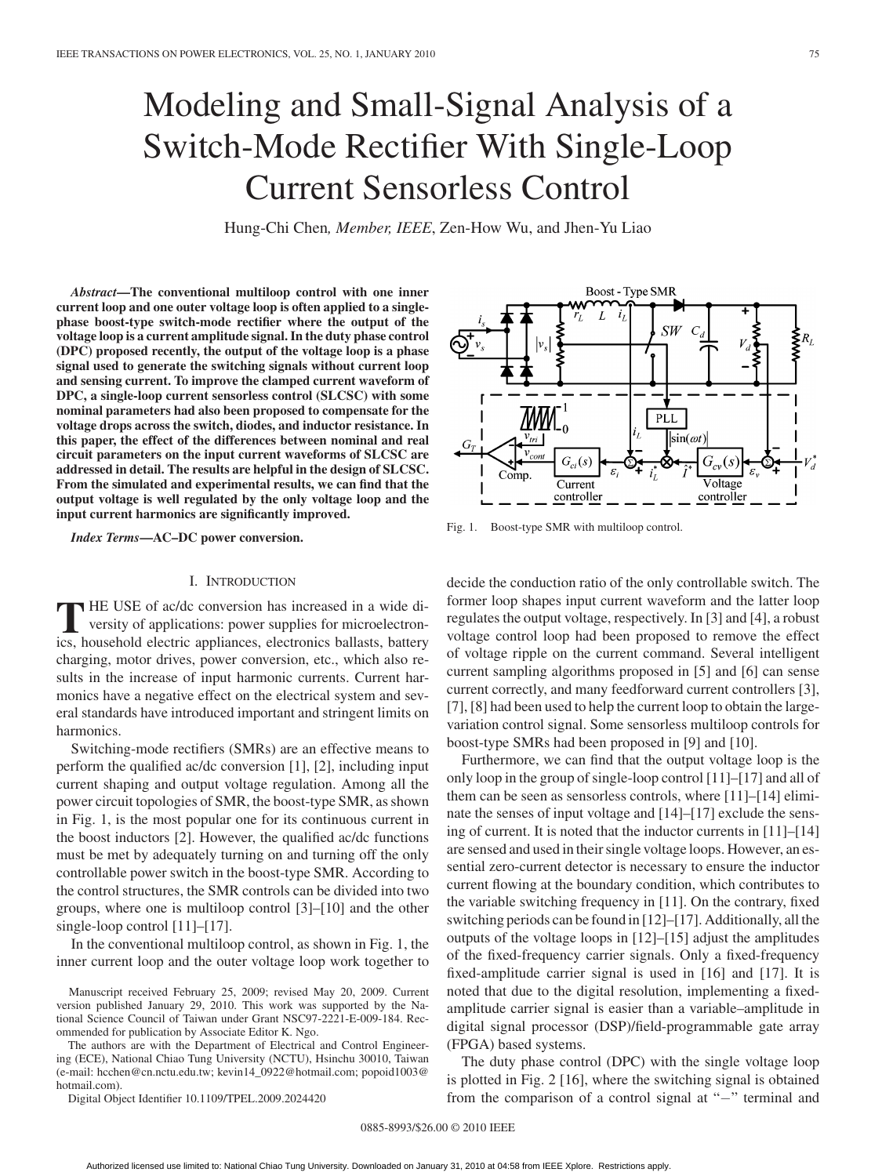# Modeling and Small-Signal Analysis of a Switch-Mode Rectifier With Single-Loop Current Sensorless Control

Hung-Chi Chen*, Member, IEEE*, Zen-How Wu, and Jhen-Yu Liao

*Abstract***—The conventional multiloop control with one inner current loop and one outer voltage loop is often applied to a singlephase boost-type switch-mode rectifier where the output of the voltage loop is a current amplitude signal. In the duty phase control (DPC) proposed recently, the output of the voltage loop is a phase signal used to generate the switching signals without current loop and sensing current. To improve the clamped current waveform of DPC, a single-loop current sensorless control (SLCSC) with some nominal parameters had also been proposed to compensate for the voltage drops across the switch, diodes, and inductor resistance. In this paper, the effect of the differences between nominal and real circuit parameters on the input current waveforms of SLCSC are addressed in detail. The results are helpful in the design of SLCSC. From the simulated and experimental results, we can find that the output voltage is well regulated by the only voltage loop and the input current harmonics are significantly improved.**

*Index Terms***—AC–DC power conversion.**

# I. INTRODUCTION

**T** HE USE of ac/dc conversion has increased in a wide diversity of applications: power supplies for microelectronics, household electric appliances, electronics ballasts, battery charging, motor drives, power conversion, etc., which also results in the increase of input harmonic currents. Current harmonics have a negative effect on the electrical system and several standards have introduced important and stringent limits on harmonics.

Switching-mode rectifiers (SMRs) are an effective means to perform the qualified ac/dc conversion [1], [2], including input current shaping and output voltage regulation. Among all the power circuit topologies of SMR, the boost-type SMR, as shown in Fig. 1, is the most popular one for its continuous current in the boost inductors [2]. However, the qualified ac/dc functions must be met by adequately turning on and turning off the only controllable power switch in the boost-type SMR. According to the control structures, the SMR controls can be divided into two groups, where one is multiloop control [3]–[10] and the other single-loop control [11]–[17].

In the conventional multiloop control, as shown in Fig. 1, the inner current loop and the outer voltage loop work together to

Manuscript received February 25, 2009; revised May 20, 2009. Current version published January 29, 2010. This work was supported by the National Science Council of Taiwan under Grant NSC97-2221-E-009-184. Recommended for publication by Associate Editor K. Ngo.

The authors are with the Department of Electrical and Control Engineering (ECE), National Chiao Tung University (NCTU), Hsinchu 30010, Taiwan (e-mail: hcchen@cn.nctu.edu.tw; kevin14\_0922@hotmail.com; popoid1003@ hotmail.com).

Digital Object Identifier 10.1109/TPEL.2009.2024420

**Boost - Type SMR**  $\overline{L}$  $i<sub>i</sub>$  $SW$  $\overline{R}_I$ **TMM** PLL  $\sin(\omega t)$ Comp Current Voltage controller controller

Fig. 1. Boost-type SMR with multiloop control.

decide the conduction ratio of the only controllable switch. The former loop shapes input current waveform and the latter loop regulates the output voltage, respectively. In [3] and [4], a robust voltage control loop had been proposed to remove the effect of voltage ripple on the current command. Several intelligent current sampling algorithms proposed in [5] and [6] can sense current correctly, and many feedforward current controllers [3], [7], [8] had been used to help the current loop to obtain the largevariation control signal. Some sensorless multiloop controls for boost-type SMRs had been proposed in [9] and [10].

Furthermore, we can find that the output voltage loop is the only loop in the group of single-loop control [11]–[17] and all of them can be seen as sensorless controls, where [11]–[14] eliminate the senses of input voltage and [14]–[17] exclude the sensing of current. It is noted that the inductor currents in [11]–[14] are sensed and used in their single voltage loops. However, an essential zero-current detector is necessary to ensure the inductor current flowing at the boundary condition, which contributes to the variable switching frequency in [11]. On the contrary, fixed switching periods can be found in [12]–[17]. Additionally, all the outputs of the voltage loops in [12]–[15] adjust the amplitudes of the fixed-frequency carrier signals. Only a fixed-frequency fixed-amplitude carrier signal is used in [16] and [17]. It is noted that due to the digital resolution, implementing a fixedamplitude carrier signal is easier than a variable–amplitude in digital signal processor (DSP)/field-programmable gate array (FPGA) based systems.

The duty phase control (DPC) with the single voltage loop is plotted in Fig. 2 [16], where the switching signal is obtained from the comparison of a control signal at "−" terminal and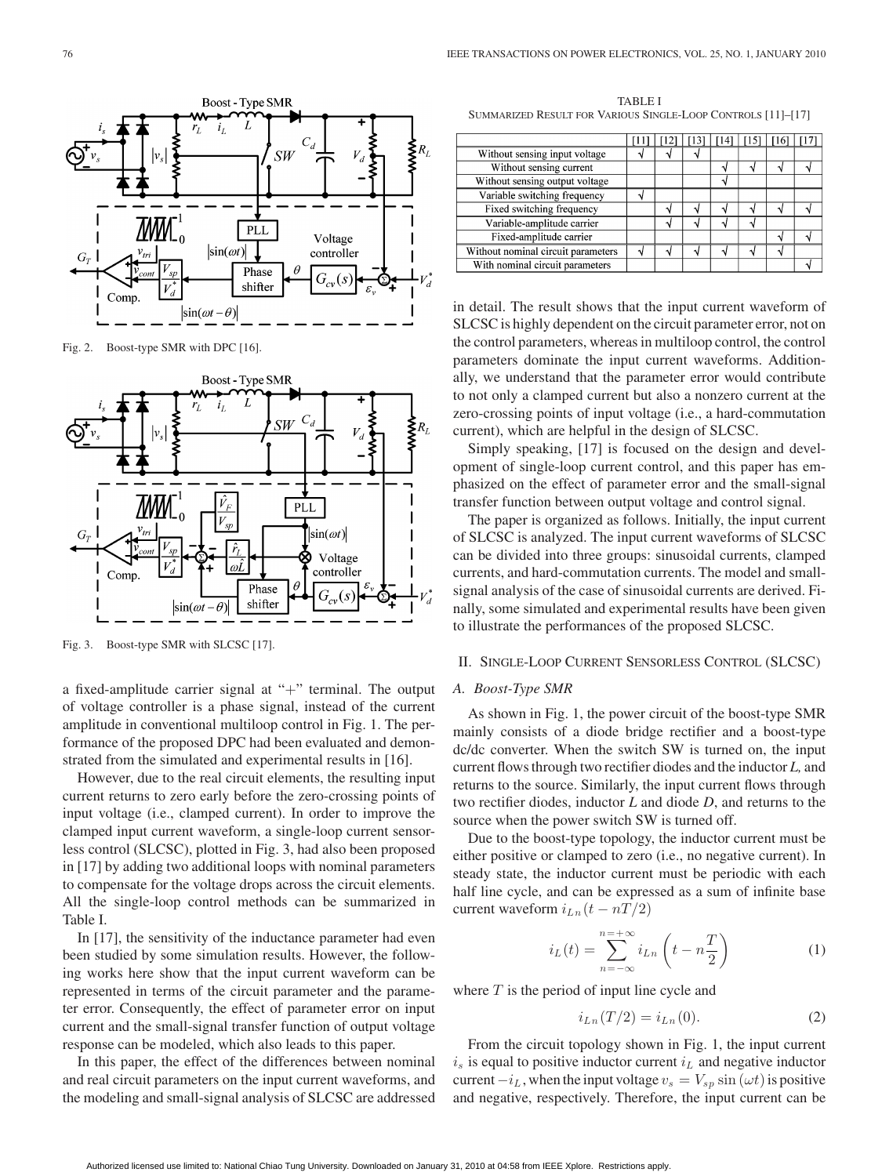

Fig. 2. Boost-type SMR with DPC [16].



Fig. 3. Boost-type SMR with SLCSC [17].

a fixed-amplitude carrier signal at "+" terminal. The output of voltage controller is a phase signal, instead of the current amplitude in conventional multiloop control in Fig. 1. The performance of the proposed DPC had been evaluated and demonstrated from the simulated and experimental results in [16].

However, due to the real circuit elements, the resulting input current returns to zero early before the zero-crossing points of input voltage (i.e., clamped current). In order to improve the clamped input current waveform, a single-loop current sensorless control (SLCSC), plotted in Fig. 3, had also been proposed in [17] by adding two additional loops with nominal parameters to compensate for the voltage drops across the circuit elements. All the single-loop control methods can be summarized in Table I.

In [17], the sensitivity of the inductance parameter had even been studied by some simulation results. However, the following works here show that the input current waveform can be represented in terms of the circuit parameter and the parameter error. Consequently, the effect of parameter error on input current and the small-signal transfer function of output voltage response can be modeled, which also leads to this paper.

In this paper, the effect of the differences between nominal and real circuit parameters on the input current waveforms, and the modeling and small-signal analysis of SLCSC are addressed

TABLE I SUMMARIZED RESULT FOR VARIOUS SINGLE-LOOP CONTROLS [11]–[17]

|                                    |   |  | $\lceil 11 \rceil$ $\lceil 12 \rceil$ $\lceil 13 \rceil$ $\lceil 14 \rceil$ $\lceil 15 \rceil$ $\lceil 16 \rceil$ |  |  |
|------------------------------------|---|--|-------------------------------------------------------------------------------------------------------------------|--|--|
| Without sensing input voltage      |   |  |                                                                                                                   |  |  |
| Without sensing current            |   |  |                                                                                                                   |  |  |
| Without sensing output voltage     |   |  | ٦ι                                                                                                                |  |  |
| Variable switching frequency       |   |  |                                                                                                                   |  |  |
| Fixed switching frequency          |   |  |                                                                                                                   |  |  |
| Variable-amplitude carrier         |   |  |                                                                                                                   |  |  |
| Fixed-amplitude carrier            |   |  |                                                                                                                   |  |  |
| Without nominal circuit parameters | ٩ |  |                                                                                                                   |  |  |
| With nominal circuit parameters    |   |  |                                                                                                                   |  |  |
|                                    |   |  |                                                                                                                   |  |  |

in detail. The result shows that the input current waveform of SLCSC is highly dependent on the circuit parameter error, not on the control parameters, whereas in multiloop control, the control parameters dominate the input current waveforms. Additionally, we understand that the parameter error would contribute to not only a clamped current but also a nonzero current at the zero-crossing points of input voltage (i.e., a hard-commutation current), which are helpful in the design of SLCSC.

Simply speaking, [17] is focused on the design and development of single-loop current control, and this paper has emphasized on the effect of parameter error and the small-signal transfer function between output voltage and control signal.

The paper is organized as follows. Initially, the input current of SLCSC is analyzed. The input current waveforms of SLCSC can be divided into three groups: sinusoidal currents, clamped currents, and hard-commutation currents. The model and smallsignal analysis of the case of sinusoidal currents are derived. Finally, some simulated and experimental results have been given to illustrate the performances of the proposed SLCSC.

# II. SINGLE-LOOP CURRENT SENSORLESS CONTROL (SLCSC)

#### *A. Boost-Type SMR*

As shown in Fig. 1, the power circuit of the boost-type SMR mainly consists of a diode bridge rectifier and a boost-type dc/dc converter. When the switch SW is turned on, the input current flows through two rectifier diodes and the inductor *L,* and returns to the source. Similarly, the input current flows through two rectifier diodes, inductor *L* and diode *D*, and returns to the source when the power switch SW is turned off.

Due to the boost-type topology, the inductor current must be either positive or clamped to zero (i.e., no negative current). In steady state, the inductor current must be periodic with each half line cycle, and can be expressed as a sum of infinite base current waveform  $i_{Ln}(t - nT/2)$ 

$$
i_L(t) = \sum_{n = -\infty}^{n = +\infty} i_{Ln} \left( t - n \frac{T}{2} \right)
$$
 (1)

where  $T$  is the period of input line cycle and

$$
i_{Ln}(T/2) = i_{Ln}(0). \t(2)
$$

From the circuit topology shown in Fig. 1, the input current  $i<sub>s</sub>$  is equal to positive inductor current  $i<sub>L</sub>$  and negative inductor current  $-i<sub>L</sub>$ , when the input voltage  $v<sub>s</sub> = V<sub>sp</sub> \sin(\omega t)$  is positive and negative, respectively. Therefore, the input current can be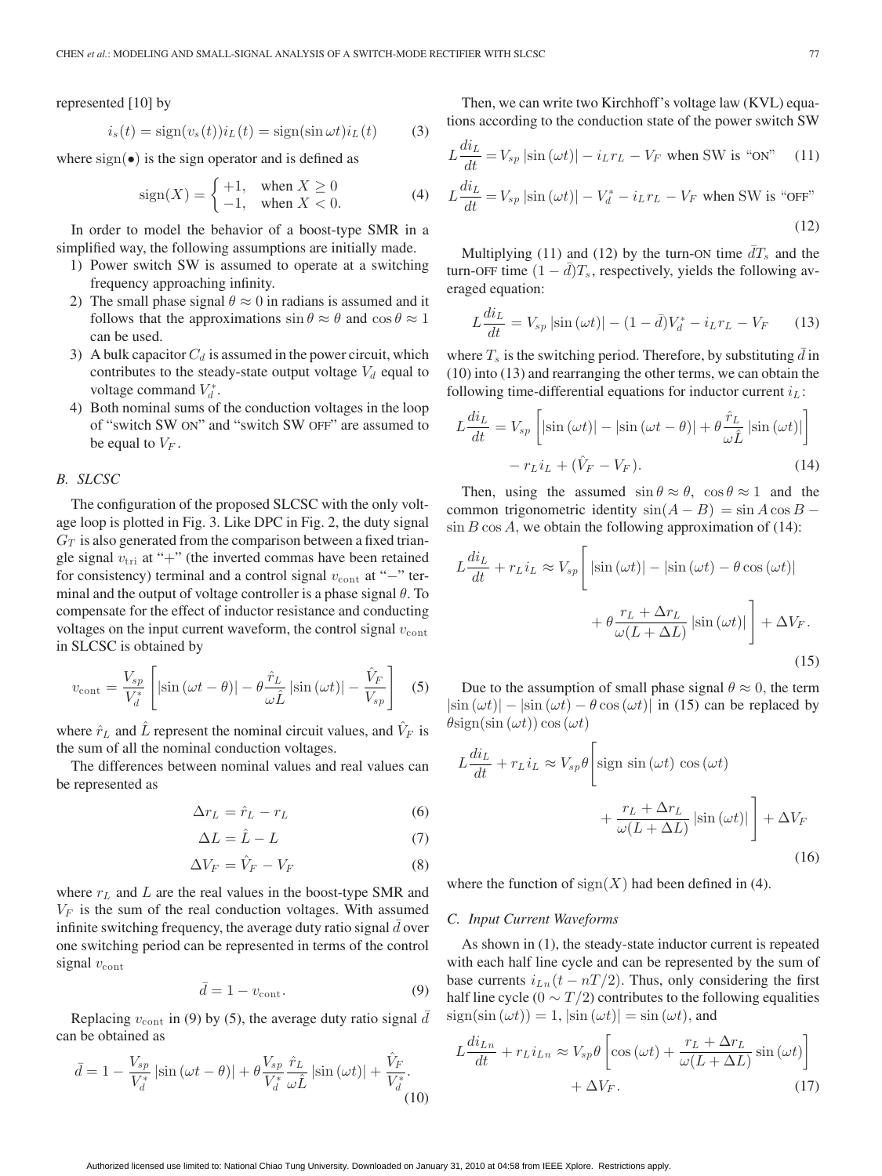represented [10] by

$$
i_s(t) = sign(v_s(t))i_L(t) = sign(sin \omega t)i_L(t)
$$
 (3)

where  $sign(\bullet)$  is the sign operator and is defined as

$$
sign(X) = \begin{cases} +1, & when X \ge 0 \\ -1, & when X < 0. \end{cases}
$$
 (4)

In order to model the behavior of a boost-type SMR in a simplified way, the following assumptions are initially made.

- 1) Power switch SW is assumed to operate at a switching frequency approaching infinity.
- 2) The small phase signal  $\theta \approx 0$  in radians is assumed and it follows that the approximations  $\sin \theta \approx \theta$  and  $\cos \theta \approx 1$ can be used.
- 3) A bulk capacitor  $C_d$  is assumed in the power circuit, which contributes to the steady-state output voltage  $V_d$  equal to voltage command  $V_d^*$ .
- 4) Both nominal sums of the conduction voltages in the loop of "switch SW ON" and "switch SW OFF" are assumed to be equal to  $V_F$ .

# *B. SLCSC*

The configuration of the proposed SLCSC with the only voltage loop is plotted in Fig. 3. Like DPC in Fig. 2, the duty signal  $G_T$  is also generated from the comparison between a fixed triangle signal  $v_{\text{tri}}$  at "+" (the inverted commas have been retained for consistency) terminal and a control signal  $v_{\text{cont}}$  at "−" terminal and the output of voltage controller is a phase signal  $\theta$ . To compensate for the effect of inductor resistance and conducting voltages on the input current waveform, the control signal  $v_{\text{cont}}$ in SLCSC is obtained by

$$
v_{\text{cont}} = \frac{V_{sp}}{V_d^*} \left[ \left| \sin \left( \omega t - \theta \right) \right| - \theta \frac{\hat{r}_L}{\omega \hat{L}} \left| \sin \left( \omega t \right) \right| - \frac{\hat{V}_F}{V_{sp}} \right] \tag{5}
$$

where  $\hat{r}_L$  and L represent the nominal circuit values, and  $V_F$  is the sum of all the nominal conduction voltages.

The differences between nominal values and real values can be represented as

$$
\Delta r_L = \hat{r}_L - r_L \tag{6}
$$

$$
\Delta L = \hat{L} - L \tag{7}
$$

$$
\Delta V_F = \hat{V}_F - V_F \tag{8}
$$

where  $r<sub>L</sub>$  and L are the real values in the boost-type SMR and  $V_F$  is the sum of the real conduction voltages. With assumed infinite switching frequency, the average duty ratio signal  $\bar{d}$  over one switching period can be represented in terms of the control signal  $v_{\text{cont}}$ 

$$
\bar{d} = 1 - v_{\text{cont}}.\tag{9}
$$

Replacing  $v_{\text{cont}}$  in (9) by (5), the average duty ratio signal  $\overline{d}$ can be obtained as

$$
\bar{d} = 1 - \frac{V_{sp}}{V_d^*} \left| \sin \left( \omega t - \theta \right) \right| + \theta \frac{V_{sp}}{V_d^*} \frac{\hat{r}_L}{\omega \hat{L}} \left| \sin \left( \omega t \right) \right| + \frac{\hat{V}_F}{V_d^*}.
$$
\n(10)

Then, we can write two Kirchhoff's voltage law (KVL) equations according to the conduction state of the power switch SW

$$
L\frac{di_L}{dt} = V_{sp} \left| \sin\left(\omega t\right) \right| - i_L r_L - V_F \text{ when SW is "ON"} \quad (11)
$$

$$
L\frac{di_L}{dt} = V_{sp} \left| \sin\left(\omega t\right) \right| - V_d^* - i_L r_L - V_F \text{ when SW is "OFF"}
$$
\n(12)

Multiplying (11) and (12) by the turn-ON time  $\overline{d}T_s$  and the turn-OFF time  $(1 - \bar{d})T_s$ , respectively, yields the following averaged equation:

$$
L\frac{di_L}{dt} = V_{sp} |\sin(\omega t)| - (1 - \bar{d})V_d^* - i_L r_L - V_F
$$
 (13)

where  $T_s$  is the switching period. Therefore, by substituting  $\bar{d}$  in (10) into (13) and rearranging the other terms, we can obtain the following time-differential equations for inductor current  $i_L$ :

$$
L\frac{di_L}{dt} = V_{sp} \left[ |\sin(\omega t)| - |\sin(\omega t - \theta)| + \theta \frac{\hat{r}_L}{\omega \hat{L}} |\sin(\omega t)| \right] - r_L i_L + (\hat{V}_F - V_F).
$$
 (14)

Then, using the assumed  $\sin \theta \approx \theta$ ,  $\cos \theta \approx 1$  and the common trigonometric identity  $sin(A - B) = sin A cos B \sin B \cos A$ , we obtain the following approximation of (14):

$$
L\frac{di_L}{dt} + r_L i_L \approx V_{sp} \left[ |\sin(\omega t)| - |\sin(\omega t) - \theta \cos(\omega t)| + \theta \frac{r_L + \Delta r_L}{\omega (L + \Delta L)} |\sin(\omega t)| \right] + \Delta V_F.
$$
\n(15)

Due to the assumption of small phase signal  $\theta \approx 0$ , the term  $|\sin(\omega t)| - |\sin(\omega t) - \theta \cos(\omega t)|$  in (15) can be replaced by  $\theta$ sign(sin ( $\omega t$ ))cos ( $\omega t$ )

$$
L\frac{di_L}{dt} + r_L i_L \approx V_{sp}\theta \left[ \text{sign sin}(\omega t) \cos(\omega t) + \frac{r_L + \Delta r_L}{\omega(L + \Delta L)} |\text{sin}(\omega t)| \right] + \Delta V_F
$$
\n(16)

where the function of  $sign(X)$  had been defined in (4).

## *C. Input Current Waveforms*

As shown in (1), the steady-state inductor current is repeated with each half line cycle and can be represented by the sum of base currents  $i_{Ln}(t - nT/2)$ . Thus, only considering the first half line cycle (0  $\sim T/2$ ) contributes to the following equalities  $sign(sin (\omega t)) = 1, |sin (\omega t)| = sin (\omega t)$ , and

$$
L\frac{di_{Ln}}{dt} + r_L i_{Ln} \approx V_{sp}\theta \left[\cos\left(\omega t\right) + \frac{r_L + \Delta r_L}{\omega (L + \Delta L)}\sin\left(\omega t\right)\right] + \Delta V_F.
$$
\n(17)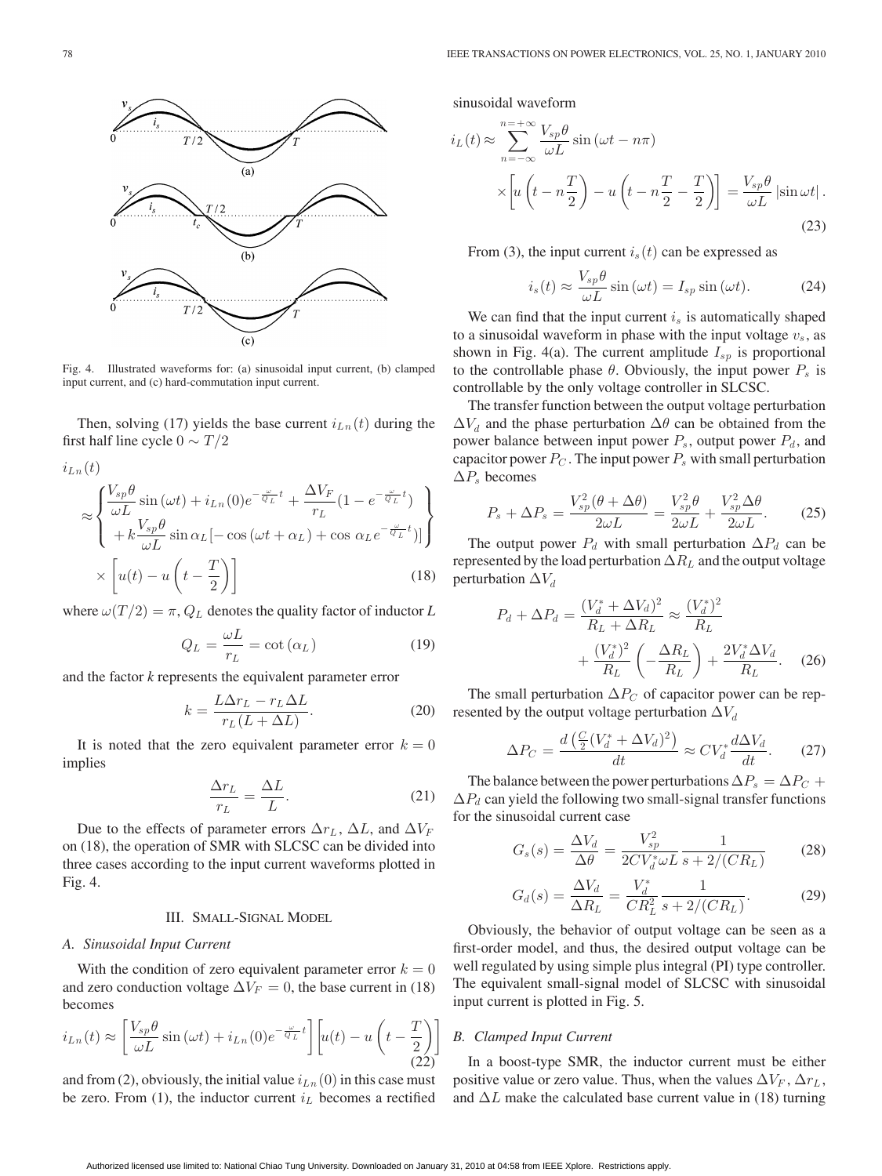

Fig. 4. Illustrated waveforms for: (a) sinusoidal input current, (b) clamped input current, and (c) hard-commutation input current.

Then, solving (17) yields the base current  $i_{Ln}(t)$  during the first half line cycle  $0 \sim T/2$ 

$$
i_{Ln}(t)
$$
  
\n
$$
\approx \begin{cases} \frac{V_{sp}\theta}{\omega L} \sin(\omega t) + i_{Ln}(0)e^{-\frac{\omega}{Q_L}t} + \frac{\Delta V_F}{r_L}(1 - e^{-\frac{\omega}{Q_L}t}) \\ + k\frac{V_{sp}\theta}{\omega L} \sin \alpha_L [-\cos(\omega t + \alpha_L) + \cos \alpha_L e^{-\frac{\omega}{Q_L}t})] \end{cases}
$$
  
\n
$$
\times \left[ u(t) - u\left(t - \frac{T}{2}\right) \right]
$$
(18)

where  $\omega(T/2) = \pi$ ,  $Q_L$  denotes the quality factor of inductor *L* 

$$
Q_L = \frac{\omega L}{r_L} = \cot(\alpha_L) \tag{19}
$$

and the factor *k* represents the equivalent parameter error

$$
k = \frac{L\Delta r_L - r_L \Delta L}{r_L (L + \Delta L)}.
$$
\n(20)

It is noted that the zero equivalent parameter error  $k = 0$ implies

$$
\frac{\Delta r_L}{r_L} = \frac{\Delta L}{L}.\tag{21}
$$

Due to the effects of parameter errors  $\Delta r_L$ ,  $\Delta L$ , and  $\Delta V_F$ on (18), the operation of SMR with SLCSC can be divided into three cases according to the input current waveforms plotted in Fig. 4.

## III. SMALL-SIGNAL MODEL

#### *A. Sinusoidal Input Current*

With the condition of zero equivalent parameter error  $k = 0$ and zero conduction voltage  $\Delta V_F = 0$ , the base current in (18) becomes

$$
i_{Ln}(t) \approx \left[\frac{V_{sp}\theta}{\omega L}\sin(\omega t) + i_{Ln}(0)e^{-\frac{\omega}{Q_L}t}\right] \left[u(t) - u\left(t - \frac{T}{2}\right)\right]
$$
\n(22)

and from (2), obviously, the initial value  $i_{Ln}(0)$  in this case must be zero. From (1), the inductor current  $i<sub>L</sub>$  becomes a rectified

sinusoidal waveform

$$
i_L(t) \approx \sum_{n=-\infty}^{n=-\infty} \frac{V_{sp}\theta}{\omega L} \sin(\omega t - n\pi)
$$

$$
\times \left[ u\left(t - n\frac{T}{2}\right) - u\left(t - n\frac{T}{2} - \frac{T}{2}\right) \right] = \frac{V_{sp}\theta}{\omega L} \left| \sin \omega t \right|.
$$
(23)

From (3), the input current  $i_s(t)$  can be expressed as

$$
i_s(t) \approx \frac{V_{sp}\theta}{\omega L}\sin(\omega t) = I_{sp}\sin(\omega t). \tag{24}
$$

We can find that the input current  $i_s$  is automatically shaped to a sinusoidal waveform in phase with the input voltage  $v_s$ , as shown in Fig. 4(a). The current amplitude  $I_{sp}$  is proportional to the controllable phase  $\theta$ . Obviously, the input power  $P_s$  is controllable by the only voltage controller in SLCSC.

The transfer function between the output voltage perturbation  $\Delta V_d$  and the phase perturbation  $\Delta \theta$  can be obtained from the power balance between input power  $P_s$ , output power  $P_d$ , and capacitor power  $P_C$ . The input power  $P_s$  with small perturbation  $\Delta P_s$  becomes

$$
P_s + \Delta P_s = \frac{V_{sp}^2(\theta + \Delta \theta)}{2\omega L} = \frac{V_{sp}^2 \theta}{2\omega L} + \frac{V_{sp}^2 \Delta \theta}{2\omega L}.
$$
 (25)

The output power  $P_d$  with small perturbation  $\Delta P_d$  can be represented by the load perturbation  $\Delta R_L$  and the output voltage perturbation  $\Delta V_d$ 

$$
P_d + \Delta P_d = \frac{(V_d^* + \Delta V_d)^2}{R_L + \Delta R_L} \approx \frac{(V_d^*)^2}{R_L}
$$

$$
+ \frac{(V_d^*)^2}{R_L} \left(-\frac{\Delta R_L}{R_L}\right) + \frac{2V_d^* \Delta V_d}{R_L}.
$$
 (26)

The small perturbation  $\Delta P_C$  of capacitor power can be represented by the output voltage perturbation  $\Delta V_d$ 

$$
\Delta P_C = \frac{d\left(\frac{C}{2}(V_d^* + \Delta V_d)^2\right)}{dt} \approx C V_d^* \frac{d\Delta V_d}{dt}.\tag{27}
$$

The balance between the power perturbations  $\Delta P_s = \Delta P_C +$  $\Delta P_d$  can yield the following two small-signal transfer functions for the sinusoidal current case

$$
G_s(s) = \frac{\Delta V_d}{\Delta \theta} = \frac{V_{sp}^2}{2CV_d^* \omega L} \frac{1}{s + 2/(CR_L)}\tag{28}
$$

$$
G_d(s) = \frac{\Delta V_d}{\Delta R_L} = \frac{V_d^*}{CR_L^2} \frac{1}{s + 2/(CR_L)}.
$$
 (29)

Obviously, the behavior of output voltage can be seen as a first-order model, and thus, the desired output voltage can be well regulated by using simple plus integral (PI) type controller. The equivalent small-signal model of SLCSC with sinusoidal input current is plotted in Fig. 5.

#### *B. Clamped Input Current*

In a boost-type SMR, the inductor current must be either positive value or zero value. Thus, when the values  $\Delta V_F$ ,  $\Delta r_L$ , and  $\Delta L$  make the calculated base current value in (18) turning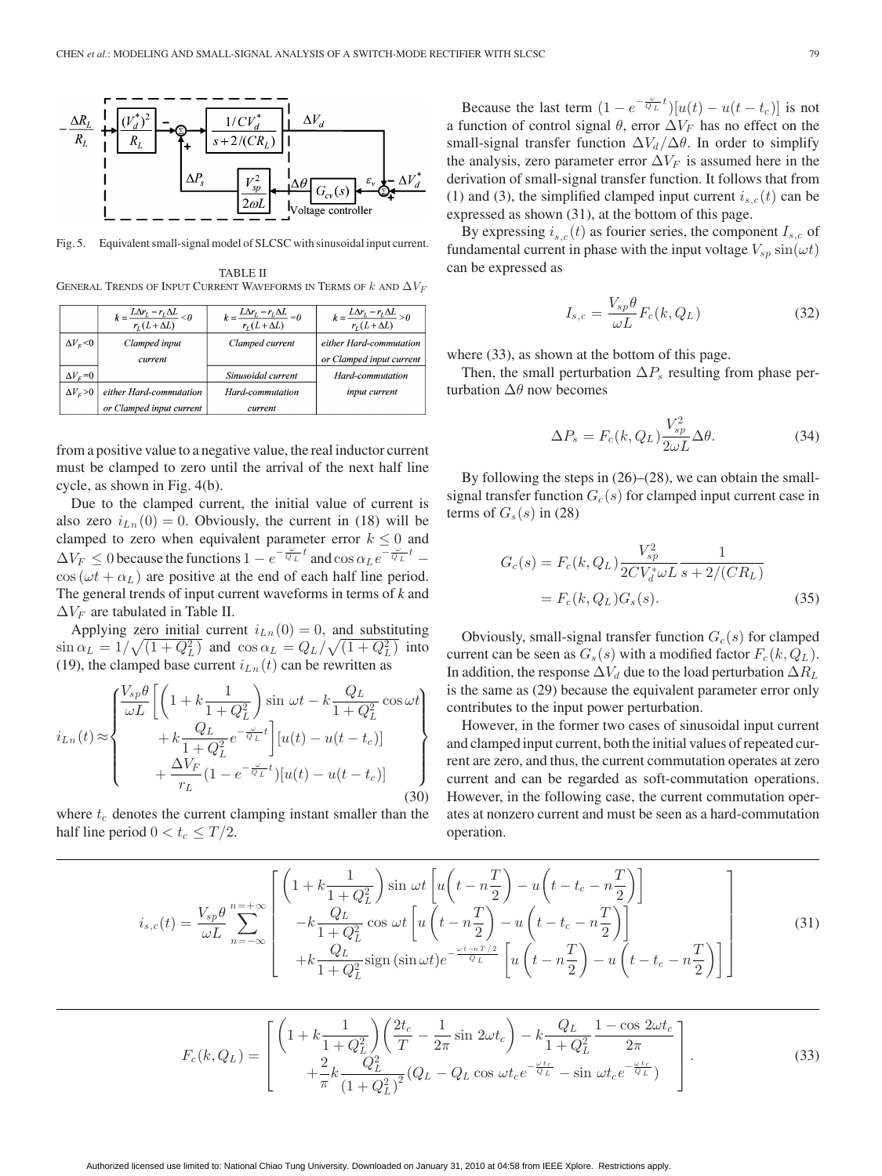

Fig. 5. Equivalent small-signal model of SLCSC with sinusoidal input current.

TABLE II GENERAL TRENDS OF INPUT CURRENT WAVEFORMS IN TERMS OF  $k$  and  $\Delta V_F$ 

|                    | $k = \frac{L\Delta r_L - r_L \Delta L}{r_L (L + \Delta L)} < 0$ | $k = \frac{L\Delta r_L - r_L \Delta L}{r_L (L + \Delta L)} = 0$ | $k = \frac{L\Delta r_L - r_L\Delta L}{r_L(L + \Delta L)} > 0$ |
|--------------------|-----------------------------------------------------------------|-----------------------------------------------------------------|---------------------------------------------------------------|
| $\Delta V_{E}$ < 0 | Clamped input                                                   | Clamped current                                                 | either Hard-commutation                                       |
|                    | current                                                         |                                                                 | or Clamped input current                                      |
| $\Delta V_F$ =0    |                                                                 | Sinusoidal current                                              | Hard-commutation                                              |
| $\Delta V_F$ >0    | either Hard-commutation                                         | Hard-commutation                                                | input current                                                 |
|                    | or Clamped input current                                        | current                                                         |                                                               |

from a positive value to a negative value, the real inductor current must be clamped to zero until the arrival of the next half line cycle, as shown in Fig. 4(b).

Due to the clamped current, the initial value of current is also zero  $i_{Ln}(0) = 0$ . Obviously, the current in (18) will be clamped to zero when equivalent parameter error  $k \leq 0$  and  $\Delta V_F \leq 0$  because the functions  $1 - e^{-\frac{\omega}{Q_L}t}$  and  $\cos \alpha_L e^{-\frac{\omega}{Q_L}t}$  –  $\cos(\omega t + \alpha_L)$  are positive at the end of each half line period. The general trends of input current waveforms in terms of *k* and  $\Delta V_F$  are tabulated in Table II.

Applying zero initial current  $i_{Ln}(0) = 0$ , and substituting  $\sin \alpha_L = 1/\sqrt{(1+Q_L^2)}$  and  $\cos \alpha_L = Q_L/\sqrt{(1+Q_L^2)}$  into (19), the clamped base current  $i_{Ln}(t)$  can be rewritten as

$$
i_{Ln}(t) \approx \begin{cases} \frac{V_{sp}\theta}{\omega L} \left[ \left( 1 + k \frac{1}{1 + Q_L^2} \right) \sin \omega t - k \frac{Q_L}{1 + Q_L^2} \cos \omega t \right) \\ \qquad + k \frac{Q_L}{1 + Q_L^2} e^{-\frac{\omega}{Q_L} t} \right] [u(t) - u(t - t_c)] \\ \qquad + \frac{\Delta V_F}{r_L} (1 - e^{-\frac{\omega}{Q_L} t}) [u(t) - u(t - t_c)] \end{cases} \tag{30}
$$

where  $t_c$  denotes the current clamping instant smaller than the half line period  $0 < t_c \leq T/2$ .

Because the last term  $(1 - e^{-\frac{\omega}{Q_L}t})[u(t) - u(t - t_c)]$  is not a function of control signal  $\theta$ , error  $\Delta V_F$  has no effect on the small-signal transfer function  $\Delta V_d / \Delta \theta$ . In order to simplify the analysis, zero parameter error  $\Delta V_F$  is assumed here in the derivation of small-signal transfer function. It follows that from (1) and (3), the simplified clamped input current  $i_{s,c}(t)$  can be expressed as shown (31), at the bottom of this page.

By expressing  $i_{s,c}(t)$  as fourier series, the component  $I_{s,c}$  of fundamental current in phase with the input voltage  $V_{sp} \sin(\omega t)$ can be expressed as

$$
I_{s,c} = \frac{V_{sp}\theta}{\omega L} F_c(k, Q_L)
$$
 (32)

where (33), as shown at the bottom of this page.

Then, the small perturbation  $\Delta P_s$  resulting from phase perturbation  $\Delta\theta$  now becomes

$$
\Delta P_s = F_c(k, Q_L) \frac{V_{sp}^2}{2\omega L} \Delta \theta.
$$
 (34)

By following the steps in (26)–(28), we can obtain the smallsignal transfer function  $G_c(s)$  for clamped input current case in terms of  $G_s(s)$  in (28)

$$
G_c(s) = F_c(k, Q_L) \frac{V_{sp}^2}{2CV_d^* \omega L} \frac{1}{s + 2/(CR_L)}
$$
  
=  $F_c(k, Q_L) G_s(s)$ . (35)

Obviously, small-signal transfer function  $G_c(s)$  for clamped current can be seen as  $G_s(s)$  with a modified factor  $F_c(k,Q_L)$ . In addition, the response  $\Delta V_d$  due to the load perturbation  $\Delta R_L$ is the same as (29) because the equivalent parameter error only contributes to the input power perturbation.

However, in the former two cases of sinusoidal input current and clamped input current, both the initial values of repeated current are zero, and thus, the current commutation operates at zero current and can be regarded as soft-commutation operations. However, in the following case, the current commutation operates at nonzero current and must be seen as a hard-commutation operation.

$$
i_{s,c}(t) = \frac{V_{sp}\theta}{\omega L} \sum_{n=-\infty}^{n=-\infty} \left[ \begin{pmatrix} 1 + k\frac{1}{1+Q_L^2} \end{pmatrix} \sin \omega t \left[ u \left( t - n\frac{T}{2} \right) - u \left( t - t_c - n\frac{T}{2} \right) \right] - k\frac{Q_L}{1+Q_L^2} \cos \omega t \left[ u \left( t - n\frac{T}{2} \right) - u \left( t - t_c - n\frac{T}{2} \right) \right] + k\frac{Q_L}{1+Q_L^2} \text{sign}(\sin \omega t) e^{-\frac{\omega t - nT/2}{Q_L}} \left[ u \left( t - n\frac{T}{2} \right) - u \left( t - t_c - n\frac{T}{2} \right) \right] \right]
$$
(31)

$$
F_c(k, Q_L) = \begin{bmatrix} \left(1 + k \frac{1}{1 + Q_L^2}\right) \left(\frac{2t_c}{T} - \frac{1}{2\pi} \sin 2\omega t_c\right) - k \frac{Q_L}{1 + Q_L^2} \frac{1 - \cos 2\omega t_c}{2\pi} \\ + \frac{2}{\pi} k \frac{Q_L^2}{\left(1 + Q_L^2\right)^2} (Q_L - Q_L \cos \omega t_c e^{-\frac{\omega t_c}{Q_L}} - \sin \omega t_c e^{-\frac{\omega t_c}{Q_L}}) \end{bmatrix} . \tag{33}
$$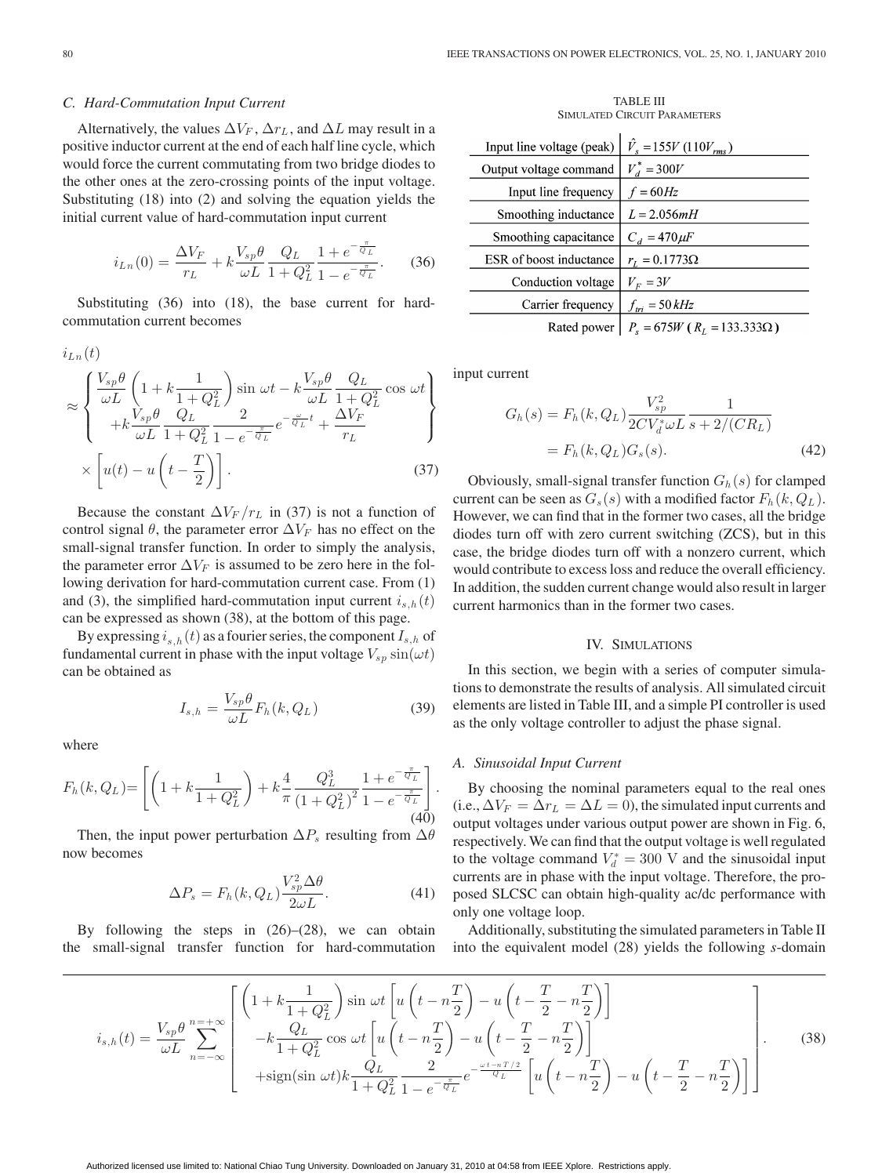#### *C. Hard-Commutation Input Current*

Alternatively, the values  $\Delta V_F$ ,  $\Delta r_L$ , and  $\Delta L$  may result in a positive inductor current at the end of each half line cycle, which would force the current commutating from two bridge diodes to the other ones at the zero-crossing points of the input voltage. Substituting (18) into (2) and solving the equation yields the initial current value of hard-commutation input current

$$
i_{Ln}(0) = \frac{\Delta V_F}{r_L} + k \frac{V_{sp}\theta}{\omega L} \frac{Q_L}{1 + Q_L^2} \frac{1 + e^{-\frac{\pi}{Q_L}}}{1 - e^{-\frac{\pi}{Q_L}}}.
$$
 (36)

Substituting (36) into (18), the base current for hardcommutation current becomes

$$
\approx \begin{cases} \frac{V_{sp}\theta}{\omega L} \left( 1 + k \frac{1}{1 + Q_L^2} \right) \sin \omega t - k \frac{V_{sp}\theta}{\omega L} \frac{Q_L}{1 + Q_L^2} \cos \omega t \right) \\ + k \frac{V_{sp}\theta}{\omega L} \frac{Q_L}{1 + Q_L^2} \frac{2}{1 - e^{-\frac{\pi}{Q_L}}} e^{-\frac{\omega}{Q_L}t} + \frac{\Delta V_F}{r_L} \\ \times \left[ u(t) - u \left( t - \frac{T}{2} \right) \right]. \end{cases} \tag{37}
$$

Because the constant  $\Delta V_F / r_L$  in (37) is not a function of control signal  $\theta$ , the parameter error  $\Delta V_F$  has no effect on the small-signal transfer function. In order to simply the analysis, the parameter error  $\Delta V_F$  is assumed to be zero here in the following derivation for hard-commutation current case. From (1) and (3), the simplified hard-commutation input current  $i_{s,h}(t)$ can be expressed as shown (38), at the bottom of this page.

By expressing  $i_{s,h}(t)$  as a fourier series, the component  $I_{s,h}$  of fundamental current in phase with the input voltage  $V_{sp}$  sin $(\omega t)$ can be obtained as

$$
I_{s,h} = \frac{V_{sp}\theta}{\omega L} F_h(k, Q_L)
$$
\n(39)

where

$$
F_h(k, Q_L) = \left[ \left( 1 + k \frac{1}{1 + Q_L^2} \right) + k \frac{4}{\pi} \frac{Q_L^3}{\left( 1 + Q_L^2 \right)^2} \frac{1 + e^{-\frac{\pi}{Q_L}}}{1 - e^{-\frac{\pi}{Q_L}}} \right].
$$
\n(40)

Then, the input power perturbation  $\Delta P_s$  resulting from  $\Delta \theta$ now becomes

$$
\Delta P_s = F_h(k, Q_L) \frac{V_{sp}^2 \Delta \theta}{2\omega L}.
$$
\n(41)

By following the steps in (26)–(28), we can obtain the small-signal transfer function for hard-commutation

TABLE III SIMULATED CIRCUIT PARAMETERS

| Input line voltage (peak) | $\hat{V}_s = 155V (110V_{rms})$        |
|---------------------------|----------------------------------------|
|                           |                                        |
| Output voltage command    | $V_d^* = 300V$                         |
| Input line frequency      | $f = 60Hz$                             |
| Smoothing inductance      | $L = 2.056mH$                          |
| Smoothing capacitance     | $C_d = 470 \mu F$                      |
| ESR of boost inductance   | $r_L = 0.1773 \Omega$                  |
| Conduction voltage        | $V_F = 3V$                             |
| Carrier frequency         | $f_{tri} = 50 kHz$                     |
| Rated power               | $P_s = 675W$ ( $R_L = 133.333\Omega$ ) |

input current

$$
G_h(s) = F_h(k, Q_L) \frac{V_{sp}^2}{2CV_a^* \omega L} \frac{1}{s + 2/(CR_L)}
$$
  
=  $F_h(k, Q_L) G_s(s).$  (42)

Obviously, small-signal transfer function  $G_h(s)$  for clamped current can be seen as  $G_s(s)$  with a modified factor  $F_h(k,Q_L)$ . However, we can find that in the former two cases, all the bridge diodes turn off with zero current switching (ZCS), but in this case, the bridge diodes turn off with a nonzero current, which would contribute to excess loss and reduce the overall efficiency. In addition, the sudden current change would also result in larger current harmonics than in the former two cases.

# IV. SIMULATIONS

In this section, we begin with a series of computer simulations to demonstrate the results of analysis. All simulated circuit elements are listed in Table III, and a simple PI controller is used as the only voltage controller to adjust the phase signal.

#### *A. Sinusoidal Input Current*

By choosing the nominal parameters equal to the real ones (i.e.,  $\Delta V_F = \Delta r_L = \Delta L = 0$ ), the simulated input currents and output voltages under various output power are shown in Fig. 6, respectively. We can find that the output voltage is well regulated to the voltage command  $V_d^* = 300$  V and the sinusoidal input currents are in phase with the input voltage. Therefore, the proposed SLCSC can obtain high-quality ac/dc performance with only one voltage loop.

Additionally, substituting the simulated parameters in Table II into the equivalent model (28) yields the following *s*-domain

$$
i_{s,h}(t) = \frac{V_{sp}\theta}{\omega L} \sum_{n=-\infty}^{n=-\infty} \left[ \begin{pmatrix} 1 + k\frac{1}{1+Q_L^2} \end{pmatrix} \sin \omega t \left[ u \left( t - n\frac{T}{2} \right) - u \left( t - \frac{T}{2} - n\frac{T}{2} \right) \right] - k\frac{Q_L}{1+Q_L^2} \cos \omega t \left[ u \left( t - n\frac{T}{2} \right) - u \left( t - \frac{T}{2} - n\frac{T}{2} \right) \right] + \text{sign}(\sin \omega t) k \frac{Q_L}{1+Q_L^2} \frac{2}{1-e^{-\frac{\pi}{Q_L}}} e^{-\frac{\omega t - nT/2}{Q_L}} \left[ u \left( t - n\frac{T}{2} \right) - u \left( t - \frac{T}{2} - n\frac{T}{2} \right) \right] \right].
$$
 (38)

 $i<sub>z</sub>$  (t)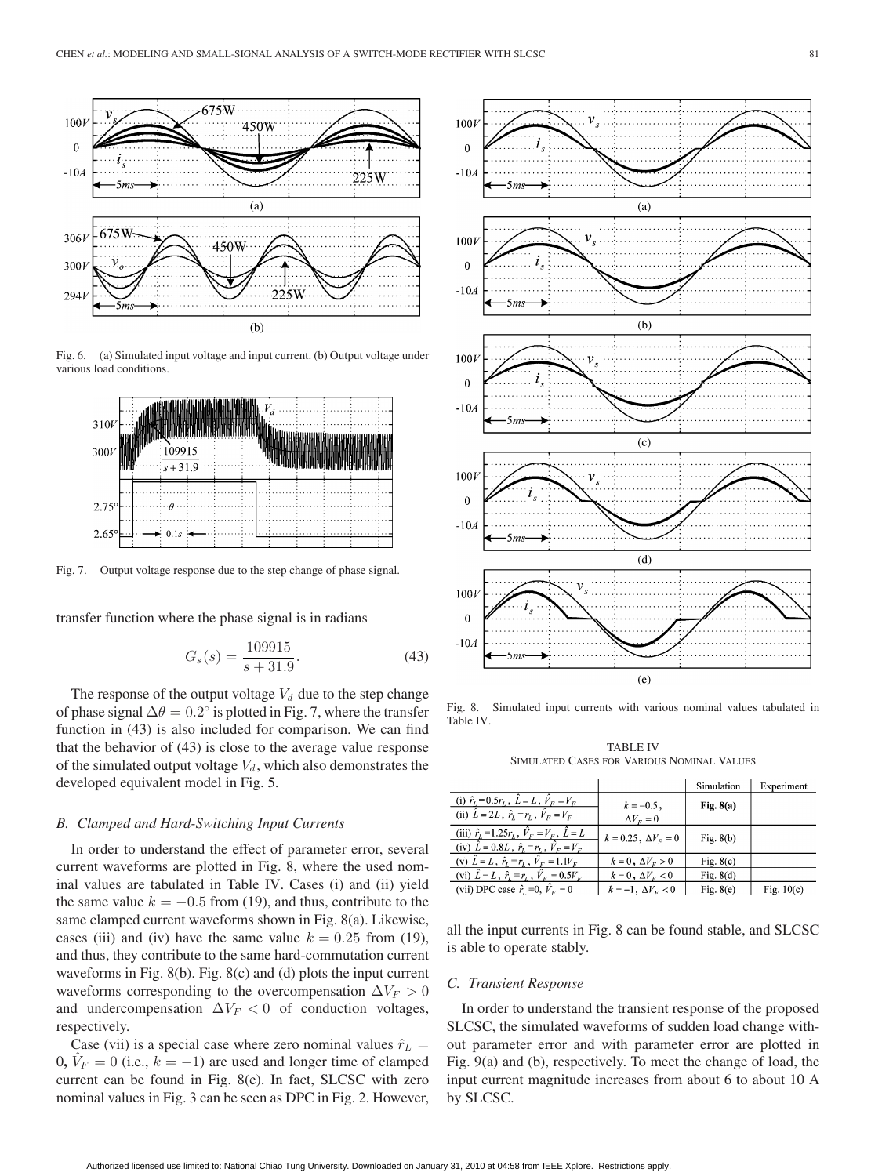

Fig. 6. (a) Simulated input voltage and input current. (b) Output voltage under various load conditions.



Fig. 7. Output voltage response due to the step change of phase signal.

transfer function where the phase signal is in radians

$$
G_s(s) = \frac{109915}{s + 31.9}.\tag{43}
$$

The response of the output voltage  $V_d$  due to the step change of phase signal  $\Delta\theta = 0.2^{\circ}$  is plotted in Fig. 7, where the transfer function in (43) is also included for comparison. We can find that the behavior of (43) is close to the average value response of the simulated output voltage  $V_d$ , which also demonstrates the developed equivalent model in Fig. 5.

# *B. Clamped and Hard-Switching Input Currents*

In order to understand the effect of parameter error, several current waveforms are plotted in Fig. 8, where the used nominal values are tabulated in Table IV. Cases (i) and (ii) yield the same value  $k = -0.5$  from (19), and thus, contribute to the same clamped current waveforms shown in Fig. 8(a). Likewise, cases (iii) and (iv) have the same value  $k = 0.25$  from (19), and thus, they contribute to the same hard-commutation current waveforms in Fig. 8(b). Fig. 8(c) and (d) plots the input current waveforms corresponding to the overcompensation  $\Delta V_F > 0$ and undercompensation  $\Delta V_F < 0$  of conduction voltages, respectively.

Case (vii) is a special case where zero nominal values  $\hat{r}_L$  =  $0, V_F = 0$  (i.e.,  $k = -1$ ) are used and longer time of clamped current can be found in Fig. 8(e). In fact, SLCSC with zero nominal values in Fig. 3 can be seen as DPC in Fig. 2. However,



Fig. 8. Simulated input currents with various nominal values tabulated in Table IV.

TABLE IV SIMULATED CASES FOR VARIOUS NOMINAL VALUES

|                                                                   |                               | Simulation  | Experiment   |
|-------------------------------------------------------------------|-------------------------------|-------------|--------------|
| (i) $\hat{r}_L = 0.5r_L$ , $\hat{L} = L$ , $\hat{V}_F = V_F$      | $k = -0.5$ ,                  | Fig. $8(a)$ |              |
| (ii) $\hat{L} = 2L$ , $\hat{r}_L = r_L$ , $\hat{V}_E = V_E$       | $\Delta V_F = 0$              |             |              |
| (iii) $\hat{r}_L = 1.25r_L$ , $\hat{V}_F = V_F$ , $\hat{L} = L$   | $k = 0.25$ , $\Delta V_F = 0$ | Fig. $8(b)$ |              |
| (iv) $\hat{L} = 0.8L$ , $\hat{r}_L = r_L$ , $\hat{V}_F = V_F$     |                               |             |              |
| (v) $\hat{L} = L$ , $\hat{r}_L = r_L$ , $\hat{V}_F = 1.1V_F$      | $k=0, \Delta V_F > 0$         | Fig. $8(c)$ |              |
| (vi) $\tilde{L} = L$ , $\hat{r}_L = r_L$ , $\tilde{V}_F = 0.5V_F$ | $k=0, \Delta V_F<0$           | Fig. $8(d)$ |              |
| (vii) DPC case $\hat{r}_i = 0$ , $\hat{V}_F = 0$                  | $k=-1, \Delta V_F < 0$        | Fig. $8(e)$ | Fig. $10(c)$ |

all the input currents in Fig. 8 can be found stable, and SLCSC is able to operate stably.

#### *C. Transient Response*

In order to understand the transient response of the proposed SLCSC, the simulated waveforms of sudden load change without parameter error and with parameter error are plotted in Fig. 9(a) and (b), respectively. To meet the change of load, the input current magnitude increases from about 6 to about 10 A by SLCSC.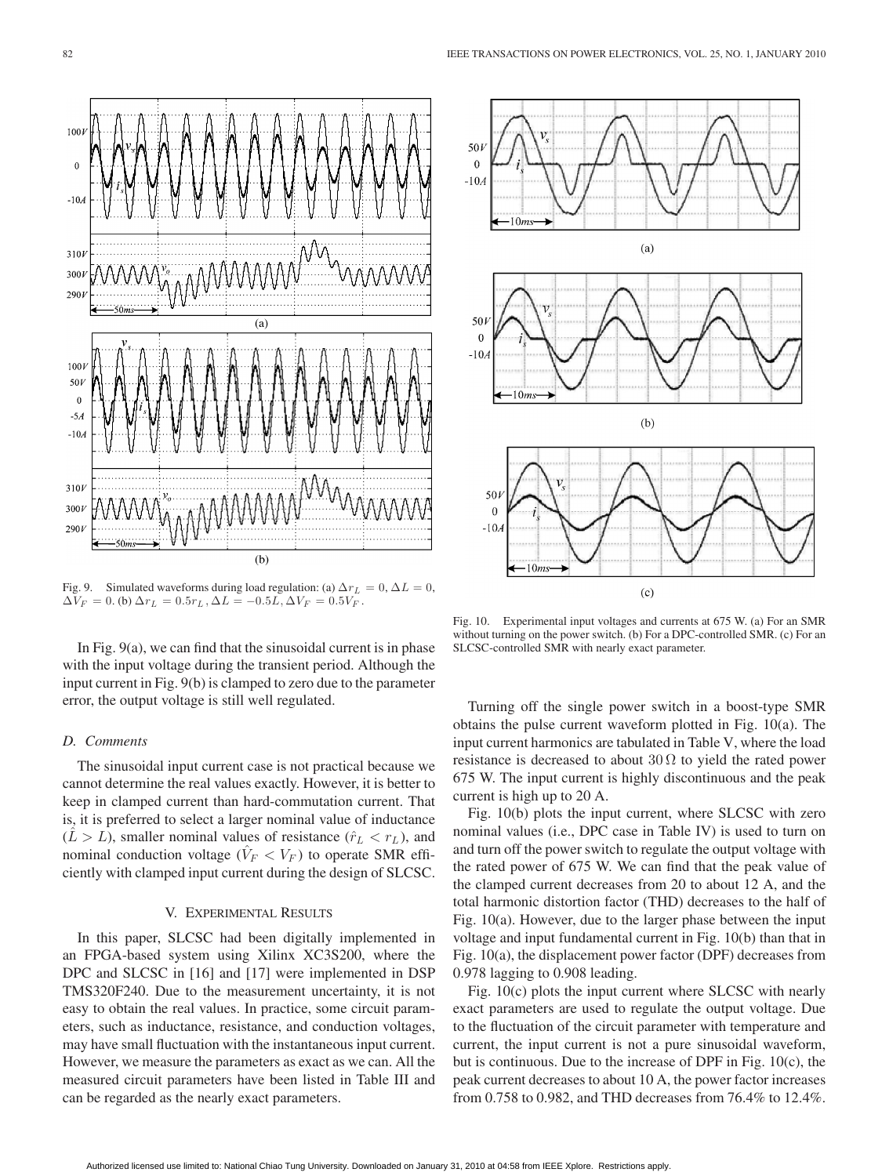

Fig. 9. Simulated waveforms during load regulation: (a)  $\Delta r_L = 0$ ,  $\Delta L = 0$ ,  $\Delta V_F = 0$ . (b)  $\Delta r_L = 0.5r_L$ ,  $\Delta L = -0.5L$ ,  $\Delta V_F = 0.5V_F$ .

In Fig. 9(a), we can find that the sinusoidal current is in phase with the input voltage during the transient period. Although the input current in Fig. 9(b) is clamped to zero due to the parameter error, the output voltage is still well regulated.

# *D. Comments*

The sinusoidal input current case is not practical because we cannot determine the real values exactly. However, it is better to keep in clamped current than hard-commutation current. That is, it is preferred to select a larger nominal value of inductance  $(L>L)$ , smaller nominal values of resistance  $(\hat{r}_L < r_L)$ , and nominal conduction voltage ( $\hat{V}_F < V_F$ ) to operate SMR efficiently with clamped input current during the design of SLCSC.

# V. EXPERIMENTAL RESULTS

In this paper, SLCSC had been digitally implemented in an FPGA-based system using Xilinx XC3S200, where the DPC and SLCSC in [16] and [17] were implemented in DSP TMS320F240. Due to the measurement uncertainty, it is not easy to obtain the real values. In practice, some circuit parameters, such as inductance, resistance, and conduction voltages, may have small fluctuation with the instantaneous input current. However, we measure the parameters as exact as we can. All the measured circuit parameters have been listed in Table III and can be regarded as the nearly exact parameters.



Fig. 10. Experimental input voltages and currents at 675 W. (a) For an SMR without turning on the power switch. (b) For a DPC-controlled SMR. (c) For an SLCSC-controlled SMR with nearly exact parameter.

Turning off the single power switch in a boost-type SMR obtains the pulse current waveform plotted in Fig. 10(a). The input current harmonics are tabulated in Table V, where the load resistance is decreased to about  $30 \Omega$  to yield the rated power 675 W. The input current is highly discontinuous and the peak current is high up to 20 A.

Fig. 10(b) plots the input current, where SLCSC with zero nominal values (i.e., DPC case in Table IV) is used to turn on and turn off the power switch to regulate the output voltage with the rated power of 675 W. We can find that the peak value of the clamped current decreases from 20 to about 12 A, and the total harmonic distortion factor (THD) decreases to the half of Fig. 10(a). However, due to the larger phase between the input voltage and input fundamental current in Fig. 10(b) than that in Fig. 10(a), the displacement power factor (DPF) decreases from 0.978 lagging to 0.908 leading.

Fig. 10(c) plots the input current where SLCSC with nearly exact parameters are used to regulate the output voltage. Due to the fluctuation of the circuit parameter with temperature and current, the input current is not a pure sinusoidal waveform, but is continuous. Due to the increase of DPF in Fig. 10(c), the peak current decreases to about 10 A, the power factor increases from 0.758 to 0.982, and THD decreases from 76.4% to 12.4%.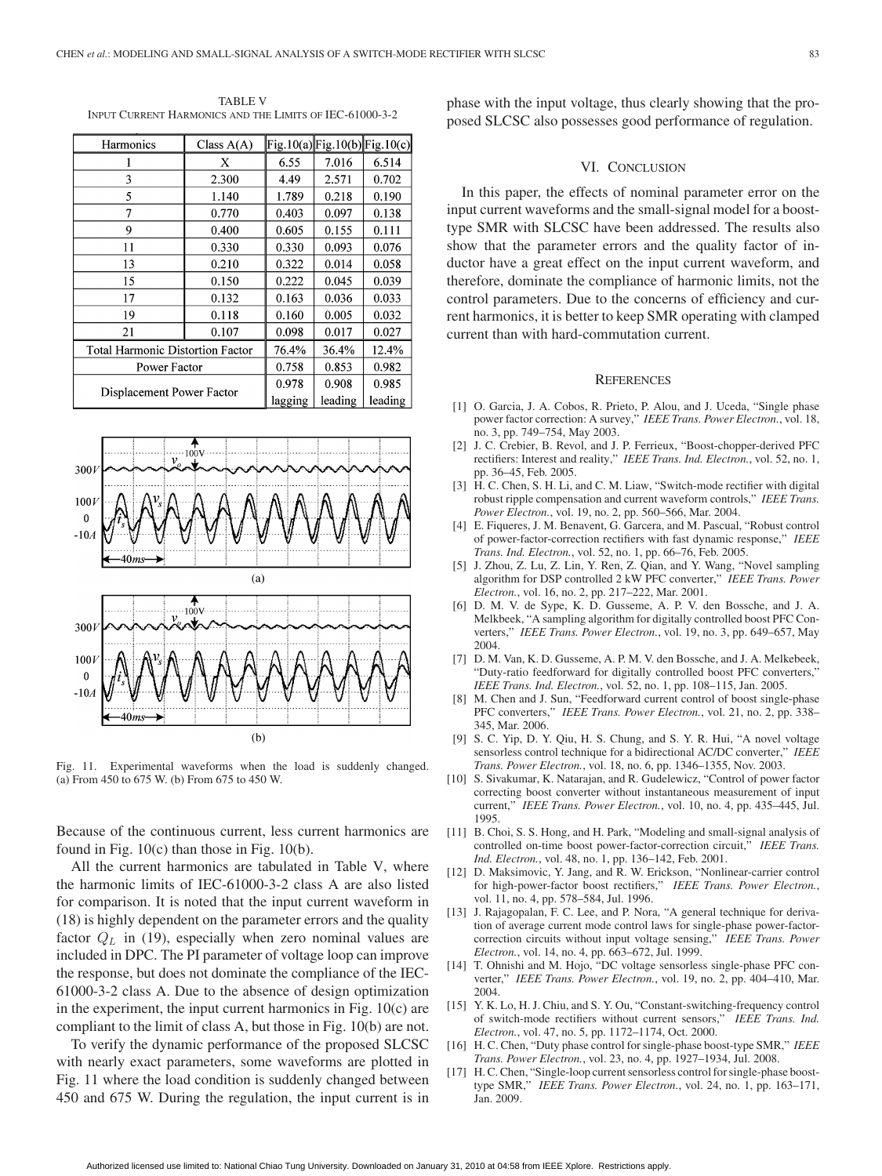TABLE V INPUT CURRENT HARMONICS AND THE LIMITS OF IEC-61000-3-2

| Harmonics                               | Class $A(A)$ |         | $Fig.10(a)$ Fig.10(b)Fig.10(c) |         |
|-----------------------------------------|--------------|---------|--------------------------------|---------|
|                                         | X            | 6.55    | 7.016                          | 6.514   |
| 3                                       | 2.300        | 4.49    | 2.571                          | 0.702   |
| 5                                       | 1.140        | 1.789   | 0.218                          | 0.190   |
| 7                                       | 0.770        | 0.403   | 0.097                          | 0.138   |
| 9                                       | 0.400        | 0.605   | 0.155                          | 0.111   |
| 11                                      | 0.330        | 0.330   | 0.093                          | 0.076   |
| 13                                      | 0.210        | 0.322   | 0.014                          | 0.058   |
| 15                                      | 0.150        | 0.222   | 0.045                          | 0.039   |
| 17                                      | 0.132        | 0.163   | 0.036                          | 0.033   |
| 19                                      | 0.118        | 0.160   | 0.005                          | 0.032   |
| 21                                      | 0.107        | 0.098   | 0.017                          | 0.027   |
| <b>Total Harmonic Distortion Factor</b> |              | 76.4%   | 36.4%                          | 12.4%   |
| Power Factor                            |              | 0.758   | 0.853                          | 0.982   |
| Displacement Power Factor               |              | 0.978   | 0.908                          | 0.985   |
|                                         |              | lagging | leading                        | leading |



Fig. 11. Experimental waveforms when the load is suddenly changed. (a) From 450 to 675 W. (b) From 675 to 450 W.

Because of the continuous current, less current harmonics are found in Fig. 10(c) than those in Fig. 10(b).

All the current harmonics are tabulated in Table V, where the harmonic limits of IEC-61000-3-2 class A are also listed for comparison. It is noted that the input current waveform in (18) is highly dependent on the parameter errors and the quality factor  $Q_L$  in (19), especially when zero nominal values are included in DPC. The PI parameter of voltage loop can improve the response, but does not dominate the compliance of the IEC-61000-3-2 class A. Due to the absence of design optimization in the experiment, the input current harmonics in Fig. 10(c) are compliant to the limit of class A, but those in Fig. 10(b) are not.

To verify the dynamic performance of the proposed SLCSC with nearly exact parameters, some waveforms are plotted in Fig. 11 where the load condition is suddenly changed between 450 and 675 W. During the regulation, the input current is in phase with the input voltage, thus clearly showing that the proposed SLCSC also possesses good performance of regulation.

#### VI. CONCLUSION

In this paper, the effects of nominal parameter error on the input current waveforms and the small-signal model for a boosttype SMR with SLCSC have been addressed. The results also show that the parameter errors and the quality factor of inductor have a great effect on the input current waveform, and therefore, dominate the compliance of harmonic limits, not the control parameters. Due to the concerns of efficiency and current harmonics, it is better to keep SMR operating with clamped current than with hard-commutation current.

# **REFERENCES**

- [1] O. Garcia, J. A. Cobos, R. Prieto, P. Alou, and J. Uceda, "Single phase power factor correction: A survey," *IEEE Trans. Power Electron.*, vol. 18, no. 3, pp. 749–754, May 2003.
- [2] J. C. Crebier, B. Revol, and J. P. Ferrieux, "Boost-chopper-derived PFC rectifiers: Interest and reality," *IEEE Trans. Ind. Electron.*, vol. 52, no. 1, pp. 36–45, Feb. 2005.
- [3] H. C. Chen, S. H. Li, and C. M. Liaw, "Switch-mode rectifier with digital robust ripple compensation and current waveform controls," *IEEE Trans. Power Electron.*, vol. 19, no. 2, pp. 560–566, Mar. 2004.
- [4] E. Fiqueres, J. M. Benavent, G. Garcera, and M. Pascual, "Robust control of power-factor-correction rectifiers with fast dynamic response," *IEEE Trans. Ind. Electron.*, vol. 52, no. 1, pp. 66–76, Feb. 2005.
- [5] J. Zhou, Z. Lu, Z. Lin, Y. Ren, Z. Qian, and Y. Wang, "Novel sampling algorithm for DSP controlled 2 kW PFC converter," *IEEE Trans. Power Electron.*, vol. 16, no. 2, pp. 217–222, Mar. 2001.
- [6] D. M. V. de Sype, K. D. Gusseme, A. P. V. den Bossche, and J. A. Melkbeek, "A sampling algorithm for digitally controlled boost PFC Converters," *IEEE Trans. Power Electron.*, vol. 19, no. 3, pp. 649–657, May 2004.
- [7] D. M. Van, K. D. Gusseme, A. P. M. V. den Bossche, and J. A. Melkebeek, "Duty-ratio feedforward for digitally controlled boost PFC converters," *IEEE Trans. Ind. Electron.*, vol. 52, no. 1, pp. 108–115, Jan. 2005.
- [8] M. Chen and J. Sun, "Feedforward current control of boost single-phase PFC converters," *IEEE Trans. Power Electron.*, vol. 21, no. 2, pp. 338– 345, Mar. 2006.
- [9] S. C. Yip, D. Y. Qiu, H. S. Chung, and S. Y. R. Hui, "A novel voltage sensorless control technique for a bidirectional AC/DC converter," *IEEE Trans. Power Electron.*, vol. 18, no. 6, pp. 1346–1355, Nov. 2003.
- [10] S. Sivakumar, K. Natarajan, and R. Gudelewicz, "Control of power factor correcting boost converter without instantaneous measurement of input current," *IEEE Trans. Power Electron.*, vol. 10, no. 4, pp. 435–445, Jul. 1995.
- [11] B. Choi, S. S. Hong, and H. Park, "Modeling and small-signal analysis of controlled on-time boost power-factor-correction circuit," *IEEE Trans. Ind. Electron.*, vol. 48, no. 1, pp. 136–142, Feb. 2001.
- [12] D. Maksimovic, Y. Jang, and R. W. Erickson, "Nonlinear-carrier control for high-power-factor boost rectifiers," *IEEE Trans. Power Electron.*, vol. 11, no. 4, pp. 578–584, Jul. 1996.
- [13] J. Rajagopalan, F. C. Lee, and P. Nora, "A general technique for derivation of average current mode control laws for single-phase power-factorcorrection circuits without input voltage sensing," *IEEE Trans. Power Electron.*, vol. 14, no. 4, pp. 663–672, Jul. 1999.
- [14] T. Ohnishi and M. Hojo, "DC voltage sensorless single-phase PFC converter," *IEEE Trans. Power Electron.*, vol. 19, no. 2, pp. 404–410, Mar. 2004.
- [15] Y. K. Lo, H. J. Chiu, and S. Y. Ou, "Constant-switching-frequency control of switch-mode rectifiers without current sensors," *IEEE Trans. Ind. Electron.*, vol. 47, no. 5, pp. 1172–1174, Oct. 2000.
- [16] H. C. Chen, "Duty phase control for single-phase boost-type SMR," *IEEE Trans. Power Electron.*, vol. 23, no. 4, pp. 1927–1934, Jul. 2008.
- [17] H. C. Chen, "Single-loop current sensorless control for single-phase boosttype SMR," *IEEE Trans. Power Electron.*, vol. 24, no. 1, pp. 163–171, Jan. 2009.